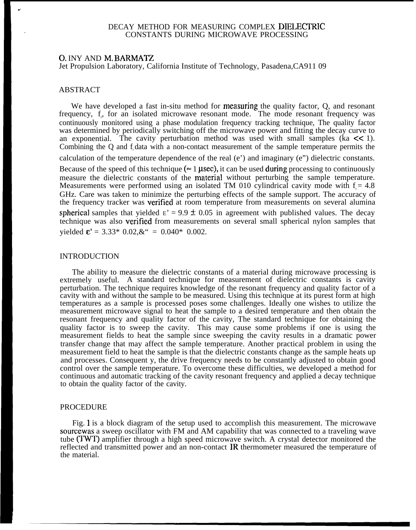# DECAY METHOD FOR MEASURING COMPLEX DIELECTRIC . CONSTANTS DURING MICROWAVE PROCESSING

## 0. INY AND M, BARMATZ

Jet Propulsion Laboratory, California Institute of Technology, Pasadena,CA911 09

## ABSTRACT

.,

We have developed a fast in-situ method for measuring the quality factor, Q, and resonant frequency, f<sub>r</sub>, for an isolated microwave resonant mode. The mode resonant frequency was continuously monitored using a phase modulation frequency tracking technique, The quality factor was determined by periodically switching off the microwave power and fitting the decay curve to an exponential. The cavity perturbation method was used with small samples ( $\overline{k}$   $\leq$  1). Combining the Q and f data with a non-contact measurement of the sample temperature permits the calculation of the temperature dependence of the real (e') and imaginary (e") dielectric constants. Because of the speed of this technique ( $\approx 1$  µsec), it can be used during processing to continuously measure the dielectric constants of the material without perturbing the sample temperature. Measurements were performed using an isolated TM 010 cylindrical cavity mode with  $f = 4.8$ GHz. Care was taken to minimize the perturbing effects of the sample support. The accuracy of the frequency tracker was verjfied at room temperature from measurements on several alumina spherical samples that yielded  $E' = 9.9 \pm 0.05$  in agreement with published values. The decay technique was also verjfied from measurements on several small spherical nylon samples that yielded  $\mathbf{\varepsilon}$ ' = 3.33\* 0.02, $\&$ <sup>\*</sup> = 0.040\* 0.002.

### INTRODUCTION

The ability to measure the dielectric constants of a material during microwave processing is extremely useful. A standard technique for measurement of dielectric constants is cavity perturbation. The technique requires knowledge of the resonant frequency and quality factor of a cavity with and without the sample to be measured. Using this technique at its purest form at high temperatures as a sample is processed poses some challenges. Ideally one wishes to utilize the measurement microwave signal to heat the sample to a desired temperature and then obtain the resonant frequency and quality factor of the cavity, The standard technique for obtaining the quality factor is to sweep the cavity. This may cause some problems if one is using the measurement fields to heat the sample since sweeping the cavity results in a dramatic power transfer change that may affect the sample temperature. Another practical problem in using the measurement field to heat the sample is that the dielectric constants change as the sample heats up and processes. Consequent y, the drive frequency needs to be constantly adjusted to obtain good control over the sample temperature. To overcome these difficulties, we developed a method for continuous and automatic tracking of the cavity resonant frequency and applied a decay technique to obtain the quality factor of the cavity.

#### PROCEDURE

Fig. 1 is a block diagram of the setup used to accomplish this measurement. The microwave sourcewas a sweep oscillator with FM and AM capability that was connected to a traveling wave tube (TWT) amplifier through a high speed microwave switch. A crystal detector monitored the reflected and transmitted power and an non-contact IR thermometer measured the temperature of the material.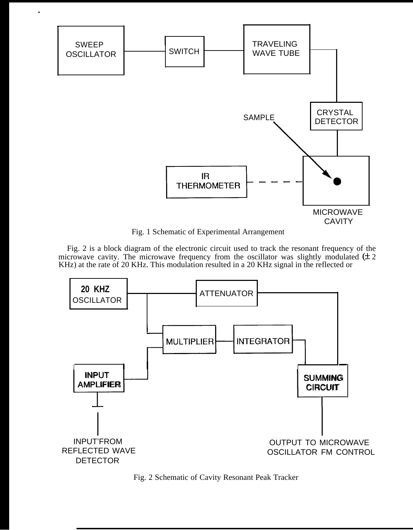

.

Fig. 1 Schematic of Experimental Arrangement

Fig. 2 is a block diagram of the electronic circuit used to track the resonant frequency of the microwave cavity. The microwave frequency from the oscillator was slightly modulated  $(\pm 2)$ KHz) at the rate of 20 KHz. This modulation resulted in a 20 KHz signal in the reflected or



Fig. 2 Schematic of Cavity Resonant Peak Tracker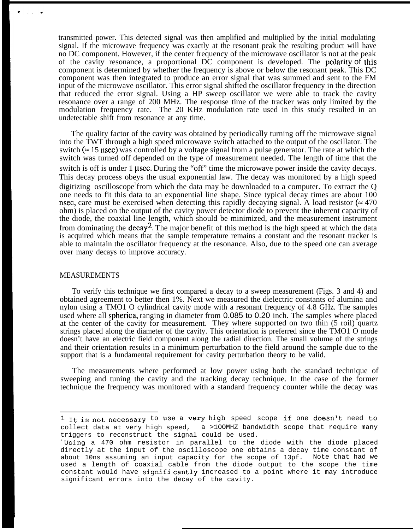transmitted power. This detected signal was then amplified and multiplied by the initial modulating signal. If the microwave frequency was exactly at the resonant peak the resulting product will have no DC component. However, if the center frequency of the microwave oscillator is not at the peak of the cavity resonance, a proportional DC component is developed. The polarity of this component is determined by whether the frequency is above or below the resonant peak. This DC component was then integrated to produce an error signal that was summed and sent to the FM input of the microwave oscillator. This error signal shifted the oscillator frequency in the direction that reduced the error signal. Using a HP sweep oscillator we were able to track the cavity resonance over a range of 200 MHz. The response time of the tracker was only limited by the modulation frequency rate. The 20 KHz modulation rate used in this study resulted in an undetectable shift from resonance at any time.

The quality factor of the cavity was obtained by periodically turning off the microwave signal into the TWT through a high speed microwave switch attached to the output of the oscillator. The switch ( $\approx$  15 nsec) was controlled by a voltage signal from a pulse generator. The rate at which the switch was turned off depended on the type of measurement needed. The length of time that the switch is off is under  $1 \mu$ sec. During the "off" time the microwave power inside the cavity decays. This decay process obeys the usual exponential law. The decay was monitored by a high speed digitizing oscilloscope from which the data may be downloaded to a computer. To extract the  $Q$ one needs to fit this data to an exponential line shape. Since typical decay times are about 100 nsec, care must be exercised when detecting this rapidly decaying signal. A load resistor ( $\approx 470$ ) ohm) is placed on the output of the cavity power detector diode to prevent the inherent capacity of the diode, the coaxial line length, which should be minimized, and the measurement instrument from dominating the  $decay^2$ . The major benefit of this method is the high speed at which the data is acquired which means that the sample temperature remains a constant and the resonant tracker is able to maintain the oscillator frequency at the resonance. Also, due to the speed one can average over many decays to improve accuracy.

#### MEASUREMENTS

To verify this technique we first compared a decay to a sweep measurement (Figs. 3 and 4) and obtained agreement to better then 1%. Next we measured the dielectric constants of alumina and nylon using a TMO1 O cylindrical cavity mode with a resonant frequency of 4.8 GHz. The samples used where all spherica, ranging in diameter from 0.085 to 0.20 inch. The samples where placed at the center of the cavity for measurement. They where supported on two thin (5 roil) quartz strings placed along the diameter of the cavity. This orientation is preferred since the TMO1 O mode doesn't have an electric field component along the radial direction. The small volume of the strings and their orientation results in a minimum perturbation to the field around the sample due to the support that is a fundamental requirement for cavity perturbation theory to be valid.

The measurements where performed at low power using both the standard technique of sweeping and tuning the cavity and the tracking decay technique. In the case of the former technique the frequency was monitored with a standard frequency counter while the decay was

 $1$  It is not necessary to use a very high speed scope if one doesn't need to collect data at very high speed, a >1OOMHZ bandwidth scope that require many triggers to reconstruct the signal could be used.

<sup>&</sup>lt;sup>2</sup>Using a 470 ohm resistor in parallel to the diode with the diode placed directly at the input of the oscilloscope one obtains a decay time constant of about 10ns assuming an input capacity for the scope of 13pf. Note that had we used a length of coaxial cable from the diode output to the scope the time constant would have signifi cantly increased to a point where it may introduce significant errors into the decay of the cavity.